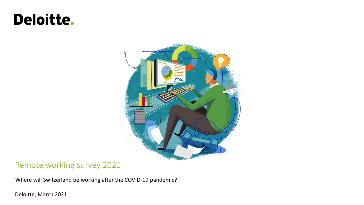# Deloitte.



### Remote working survey 2021

Where will Switzerland be working after the COVID-19 pandemic?

Deloitte, March 2021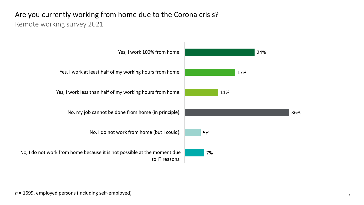### Are you currently working from home due to the Corona crisis?

#### Remote working survey 2021

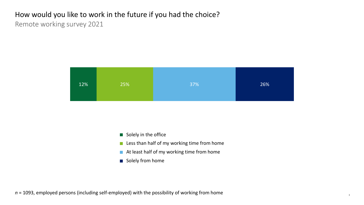### How would you like to work in the future if you had the choice? Remote working survey 2021



- Solely in the office
- Less than half of my working time from home
- At least half of my working time from home
- Solely from home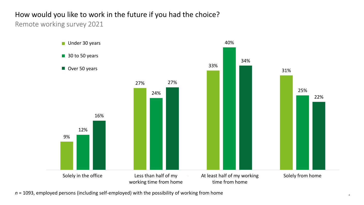## How would you like to work in the future if you had the choice?

Remote working survey 2021



*n* = 1093, employed persons (including self-employed) with the possibility of working from home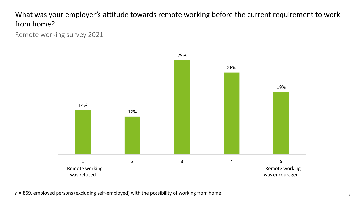What was your employer's attitude towards remote working before the current requirement to work from home?

Remote working survey 2021



*n* = 869, employed persons (excluding self-employed) with the possibility of working from home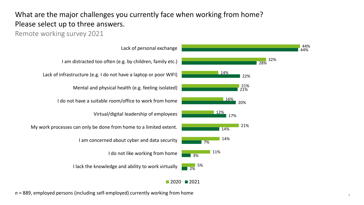### What are the major challenges you currently face when working from home? Please select up to three answers.

### Remote working survey 2021



Ich habe keinen geeigneten Raum/kein geeignetes Büro, um I do not have a suitable room/office to work from home Virtual/digital leadership of employees  $\frac{1}{2}$ I am concerned about cyber and data security I do not like working from home I lack the knowledge and ability to work virtually My work processes can only be done from home to a limited extent.

*n* = 889, employed persons (including self-employed) currently working from home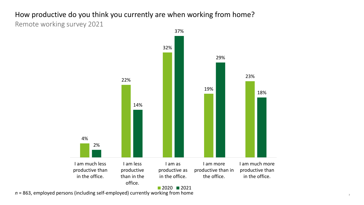### How productive do you think you currently are when working from home? Remote working survey 2021



 $2020$  2021

*n* = 863, employed persons (including self-employed) currently working from home